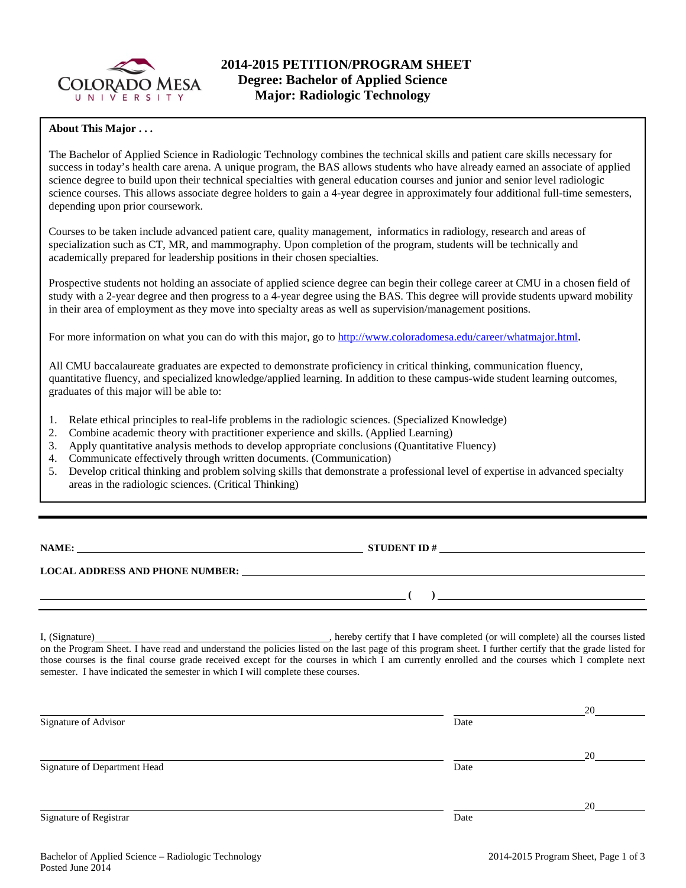

# **About This Major . . .**

The Bachelor of Applied Science in Radiologic Technology combines the technical skills and patient care skills necessary for success in today's health care arena. A unique program, the BAS allows students who have already earned an associate of applied science degree to build upon their technical specialties with general education courses and junior and senior level radiologic science courses. This allows associate degree holders to gain a 4-year degree in approximately four additional full-time semesters, depending upon prior coursework.

Courses to be taken include advanced patient care, quality management, informatics in radiology, research and areas of specialization such as CT, MR, and mammography. Upon completion of the program, students will be technically and academically prepared for leadership positions in their chosen specialties.

Prospective students not holding an associate of applied science degree can begin their college career at CMU in a chosen field of study with a 2-year degree and then progress to a 4-year degree using the BAS. This degree will provide students upward mobility in their area of employment as they move into specialty areas as well as supervision/management positions.

For more information on what you can do with this major, go to [http://www.coloradomesa.edu/career/whatmajor.html.](http://www.coloradomesa.edu/career/whatmajor.html)

All CMU baccalaureate graduates are expected to demonstrate proficiency in critical thinking, communication fluency, quantitative fluency, and specialized knowledge/applied learning. In addition to these campus-wide student learning outcomes, graduates of this major will be able to:

- 1. Relate ethical principles to real-life problems in the radiologic sciences. (Specialized Knowledge)
- 2. Combine academic theory with practitioner experience and skills. (Applied Learning)
- 3. Apply quantitative analysis methods to develop appropriate conclusions (Quantitative Fluency)
- 4. Communicate effectively through written documents. (Communication)
- 5. Develop critical thinking and problem solving skills that demonstrate a professional level of expertise in advanced specialty areas in the radiologic sciences. (Critical Thinking)

**NAMES IN STUDENT ID #** 

**( )** 

**LOCAL ADDRESS AND PHONE NUMBER:**

I, (Signature) , hereby certify that I have completed (or will complete) all the courses listed on the Program Sheet. I have read and understand the policies listed on the last page of this program sheet. I further certify that the grade listed for those courses is the final course grade received except for the courses in which I am currently enrolled and the courses which I complete next semester. I have indicated the semester in which I will complete these courses.

|                              |      | 20 |
|------------------------------|------|----|
|                              | Date |    |
|                              |      |    |
|                              |      | 20 |
| Signature of Department Head | Date |    |
|                              |      |    |
|                              |      | 20 |
|                              | Date |    |
|                              |      |    |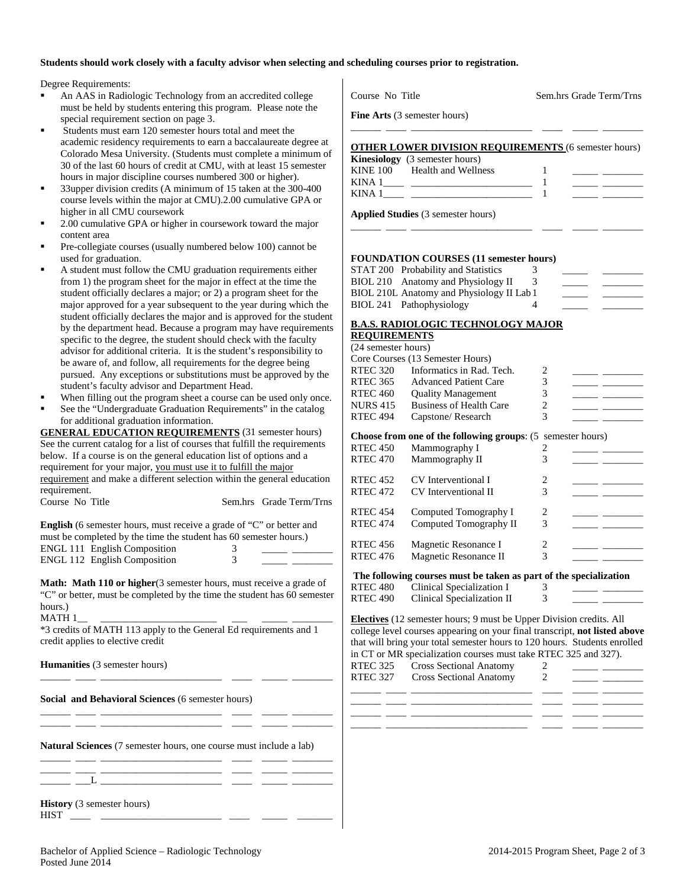# **Students should work closely with a faculty advisor when selecting and scheduling courses prior to registration.**

Degree Requirements:

- An AAS in Radiologic Technology from an accredited college must be held by students entering this program. Please note the special requirement section on page 3.
- Students must earn 120 semester hours total and meet the academic residency requirements to earn a baccalaureate degree at Colorado Mesa University. (Students must complete a minimum of 30 of the last 60 hours of credit at CMU, with at least 15 semester hours in major discipline courses numbered 300 or higher).
- 33upper division credits (A minimum of 15 taken at the 300-400 course levels within the major at CMU).2.00 cumulative GPA or higher in all CMU coursework
- 2.00 cumulative GPA or higher in coursework toward the major content area
- Pre-collegiate courses (usually numbered below 100) cannot be used for graduation.
- A student must follow the CMU graduation requirements either from 1) the program sheet for the major in effect at the time the student officially declares a major; or 2) a program sheet for the major approved for a year subsequent to the year during which the student officially declares the major and is approved for the student by the department head. Because a program may have requirements specific to the degree, the student should check with the faculty advisor for additional criteria. It is the student's responsibility to be aware of, and follow, all requirements for the degree being pursued. Any exceptions or substitutions must be approved by the student's faculty advisor and Department Head.
- When filling out the program sheet a course can be used only once.
- See the "Undergraduate Graduation Requirements" in the catalog for additional graduation information.

| <b>GENERAL EDUCATION REQUIREMENTS (31 semester hours)</b>                   |
|-----------------------------------------------------------------------------|
| See the current catalog for a list of courses that fulfill the requirements |
| below. If a course is on the general education list of options and a        |
| requirement for your major, you must use it to fulfill the major            |
| requirement and make a different selection within the general education     |
| requirement.                                                                |

Course No Title Sem.hrs Grade Term/Trns

| <b>English</b> (6 semester hours, must receive a grade of "C" or better and |                                                                   |   |  |  |
|-----------------------------------------------------------------------------|-------------------------------------------------------------------|---|--|--|
|                                                                             | must be completed by the time the student has 60 semester hours.) |   |  |  |
|                                                                             | <b>ENGL 111 English Composition</b>                               | 3 |  |  |
|                                                                             | <b>ENGL 112 English Composition</b>                               |   |  |  |

**Math: Math 110 or higher** (3 semester hours, must receive a grade of "C" or better, must be completed by the time the student has 60 semester hours.)

 $MATH 1$ 

\*3 credits of MATH 113 apply to the General Ed requirements and 1 credit applies to elective credit

\_\_\_\_\_\_ \_\_\_\_ \_\_\_\_\_\_\_\_\_\_\_\_\_\_\_\_\_\_\_\_\_\_\_\_ \_\_\_\_ \_\_\_\_\_ \_\_\_\_\_\_\_\_

\_\_\_\_\_\_ \_\_\_\_ \_\_\_\_\_\_\_\_\_\_\_\_\_\_\_\_\_\_\_\_\_\_\_\_ \_\_\_\_ \_\_\_\_\_ \_\_\_\_\_\_\_\_ \_\_\_\_\_\_ \_\_\_\_ \_\_\_\_\_\_\_\_\_\_\_\_\_\_\_\_\_\_\_\_\_\_\_\_ \_\_\_\_ \_\_\_\_\_ \_\_\_\_\_\_\_\_

**Humanities** (3 semester hours)

**Social and Behavioral Sciences** (6 semester hours)

**Natural Sciences** (7 semester hours, one course must include a lab) \_\_\_\_\_\_ \_\_\_\_ \_\_\_\_\_\_\_\_\_\_\_\_\_\_\_\_\_\_\_\_\_\_\_\_ \_\_\_\_ \_\_\_\_\_ \_\_\_\_\_\_\_\_

\_\_\_\_\_\_ \_\_\_\_ \_\_\_\_\_\_\_\_\_\_\_\_\_\_\_\_\_\_\_\_\_\_\_\_ \_\_\_\_ \_\_\_\_\_ \_\_\_\_\_\_\_\_ \_\_\_\_\_\_ \_\_\_L \_\_\_\_\_\_\_\_\_\_\_\_\_\_\_\_\_\_\_\_\_\_\_\_ \_\_\_\_ \_\_\_\_\_ \_\_\_\_\_\_\_\_

**History** (3 semester hours)

| <b>THCT</b><br>$\cdots$ |  |  |  |
|-------------------------|--|--|--|
|                         |  |  |  |

| Course No Title                                             | Sem.hrs Grade Term/Trns |
|-------------------------------------------------------------|-------------------------|
| <b>Fine Arts</b> (3 semester hours)                         |                         |
| <b>OTHER LOWER DIVISION REQUIREMENTS (6 semester hours)</b> |                         |
| <b>Kinesiology</b> (3 semester hours)                       |                         |
| KINE 100 Health and Wellness                                |                         |
|                                                             |                         |
| KINA 1                                                      |                         |
| <b>Applied Studies</b> (3 semester hours)                   |                         |

### **FOUNDATION COURSES (11 semester hours)**

| STAT 200 Probability and Statistics       |  |  |
|-------------------------------------------|--|--|
| BIOL 210 Anatomy and Physiology II        |  |  |
| BIOL 210L Anatomy and Physiology II Lab 1 |  |  |
| BIOL 241 Pathophysiology                  |  |  |

# **B.A.S. RADIOLOGIC TECHNOLOGY MAJOR**

# **REQUIREMENTS**

| (24 semester hours) |                                                                    |   |  |
|---------------------|--------------------------------------------------------------------|---|--|
|                     | Core Courses (13 Semester Hours)                                   |   |  |
| <b>RTEC 320</b>     | Informatics in Rad. Tech.                                          | 2 |  |
| <b>RTEC 365</b>     | <b>Advanced Patient Care</b>                                       | 3 |  |
| <b>RTEC 460</b>     | <b>Quality Management</b>                                          | 3 |  |
| <b>NURS 415</b>     | <b>Business of Health Care</b>                                     | 2 |  |
| <b>RTEC 494</b>     | Capstone/Research                                                  | 3 |  |
|                     | <b>Choose from one of the following groups:</b> (5 semester hours) |   |  |
| <b>RTEC 450</b>     | Mammography I                                                      | 2 |  |
| <b>RTEC 470</b>     | Mammography II                                                     | 3 |  |
| <b>RTEC 452</b>     | CV Interventional I                                                | 2 |  |
| <b>RTEC 472</b>     | CV Interventional II                                               | 3 |  |
| <b>RTEC 454</b>     | Computed Tomography I                                              | 2 |  |
| <b>RTEC 474</b>     | Computed Tomography II                                             | 3 |  |
| <b>RTEC 456</b>     | Magnetic Resonance I                                               | 2 |  |
| <b>RTEC 476</b>     | Magnetic Resonance II                                              | 3 |  |
|                     |                                                                    |   |  |

#### **The following courses must be taken as part of the specialization**

| RTEC 480 | Clinical Specialization I  |  |
|----------|----------------------------|--|
| RTEC 490 | Clinical Specialization II |  |

**Electives** (12 semester hours; 9 must be Upper Division credits. All college level courses appearing on your final transcript, **not listed above** that will bring your total semester hours to 120 hours. Students enrolled in CT or MR specialization courses must take RTEC 325 and 327).

| RTEC 325 Cross Sectional Anatomy<br>RTEC 327 Cross Sectional Anatomy |  |
|----------------------------------------------------------------------|--|
|                                                                      |  |
|                                                                      |  |
|                                                                      |  |
|                                                                      |  |